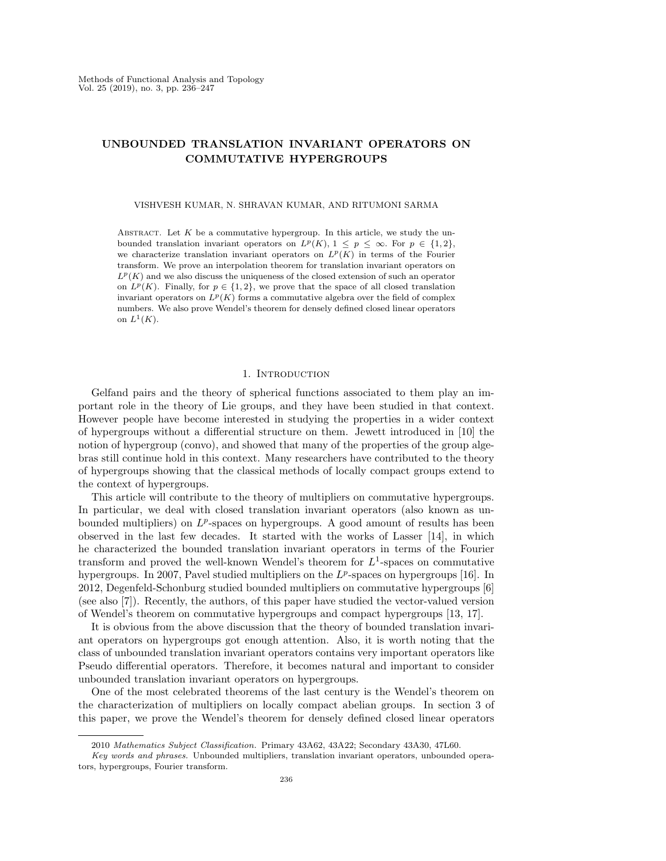## UNBOUNDED TRANSLATION INVARIANT OPERATORS ON COMMUTATIVE HYPERGROUPS

VISHVESH KUMAR, N. SHRAVAN KUMAR, AND RITUMONI SARMA

ABSTRACT. Let  $K$  be a commutative hypergroup. In this article, we study the unbounded translation invariant operators on  $L^p(K)$ ,  $1 \leq p \leq \infty$ . For  $p \in \{1,2\}$ , we characterize translation invariant operators on  $L^p(K)$  in terms of the Fourier transform. We prove an interpolation theorem for translation invariant operators on  $L^p(K)$  and we also discuss the uniqueness of the closed extension of such an operator on  $L^p(K)$ . Finally, for  $p \in \{1,2\}$ , we prove that the space of all closed translation invariant operators on  $L^p(K)$  forms a commutative algebra over the field of complex numbers. We also prove Wendel's theorem for densely defined closed linear operators on  $L^1(K)$ .

### 1. INTRODUCTION

Gelfand pairs and the theory of spherical functions associated to them play an important role in the theory of Lie groups, and they have been studied in that context. However people have become interested in studying the properties in a wider context of hypergroups without a differential structure on them. Jewett introduced in [10] the notion of hypergroup (convo), and showed that many of the properties of the group algebras still continue hold in this context. Many researchers have contributed to the theory of hypergroups showing that the classical methods of locally compact groups extend to the context of hypergroups.

This article will contribute to the theory of multipliers on commutative hypergroups. In particular, we deal with closed translation invariant operators (also known as unbounded multipliers) on  $L^p$ -spaces on hypergroups. A good amount of results has been observed in the last few decades. It started with the works of Lasser [14], in which he characterized the bounded translation invariant operators in terms of the Fourier transform and proved the well-known Wendel's theorem for  $L^1$ -spaces on commutative hypergroups. In 2007, Pavel studied multipliers on the  $L^p$ -spaces on hypergroups [16]. In 2012, Degenfeld-Schonburg studied bounded multipliers on commutative hypergroups [6] (see also [7]). Recently, the authors, of this paper have studied the vector-valued version of Wendel's theorem on commutative hypergroups and compact hypergroups [13, 17].

It is obvious from the above discussion that the theory of bounded translation invariant operators on hypergroups got enough attention. Also, it is worth noting that the class of unbounded translation invariant operators contains very important operators like Pseudo differential operators. Therefore, it becomes natural and important to consider unbounded translation invariant operators on hypergroups.

One of the most celebrated theorems of the last century is the Wendel's theorem on the characterization of multipliers on locally compact abelian groups. In section 3 of this paper, we prove the Wendel's theorem for densely defined closed linear operators

<sup>2010</sup> Mathematics Subject Classification. Primary 43A62, 43A22; Secondary 43A30, 47L60.

Key words and phrases. Unbounded multipliers, translation invariant operators, unbounded operators, hypergroups, Fourier transform.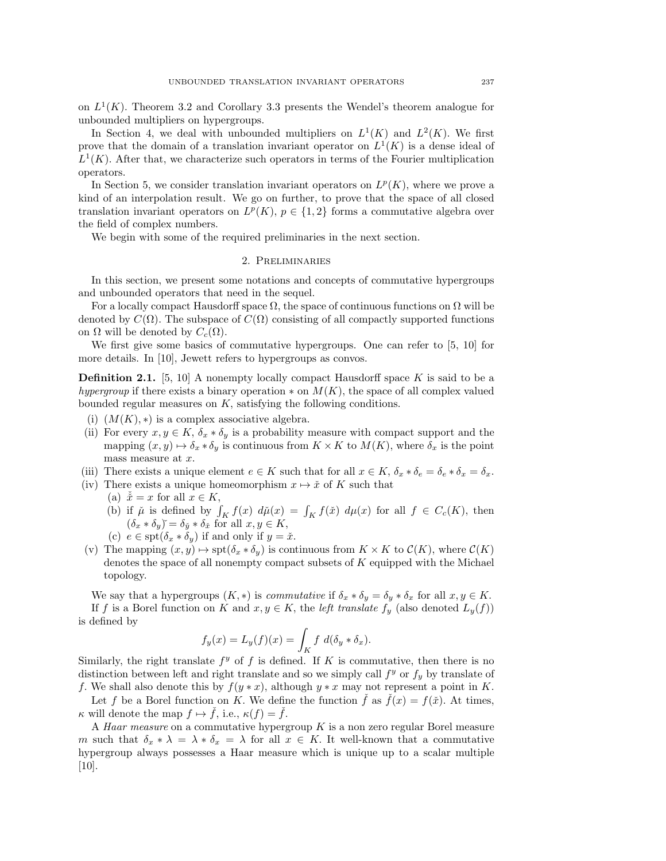on  $L^1(K)$ . Theorem 3.2 and Corollary 3.3 presents the Wendel's theorem analogue for unbounded multipliers on hypergroups.

In Section 4, we deal with unbounded multipliers on  $L^1(K)$  and  $L^2(K)$ . We first prove that the domain of a translation invariant operator on  $L^1(K)$  is a dense ideal of  $L^1(K)$ . After that, we characterize such operators in terms of the Fourier multiplication operators.

In Section 5, we consider translation invariant operators on  $L^p(K)$ , where we prove a kind of an interpolation result. We go on further, to prove that the space of all closed translation invariant operators on  $L^p(K)$ ,  $p \in \{1,2\}$  forms a commutative algebra over the field of complex numbers.

We begin with some of the required preliminaries in the next section.

#### 2. Preliminaries

In this section, we present some notations and concepts of commutative hypergroups and unbounded operators that need in the sequel.

For a locally compact Hausdorff space  $\Omega$ , the space of continuous functions on  $\Omega$  will be denoted by  $C(\Omega)$ . The subspace of  $C(\Omega)$  consisting of all compactly supported functions on  $\Omega$  will be denoted by  $C_c(\Omega)$ .

We first give some basics of commutative hypergroups. One can refer to [5, 10] for more details. In [10], Jewett refers to hypergroups as convos.

**Definition 2.1.** [5, 10] A nonempty locally compact Hausdorff space K is said to be a hypergroup if there exists a binary operation  $*$  on  $M(K)$ , the space of all complex valued bounded regular measures on K, satisfying the following conditions.

- (i)  $(M(K), *)$  is a complex associative algebra.
- (ii) For every  $x, y \in K$ ,  $\delta_x * \delta_y$  is a probability measure with compact support and the mapping  $(x, y) \mapsto \delta_x * \delta_y$  is continuous from  $K \times K$  to  $M(K)$ , where  $\delta_x$  is the point mass measure at  $x$ .

(iii) There exists a unique element  $e \in K$  such that for all  $x \in K$ ,  $\delta_x * \delta_e = \delta_e * \delta_x = \delta_x$ .

- (iv) There exists a unique homeomorphism  $x \mapsto \check{x}$  of K such that
	- (a)  $\check{x} = x$  for all  $x \in K$ ,
	- (b) if  $\mu$  is defined by  $\int_K f(x) d\mu(x) = \int_K f(\tilde{x}) d\mu(x)$  for all  $f \in C_c(K)$ , then  $(\delta_x * \delta_y) = \delta_{\check{y}} * \delta_{\check{x}}$  for all  $x, y \in K$ ,
	- (c)  $e \in \text{spt}(\delta_x * \delta_y)$  if and only if  $y = \check{x}$ .
- (v) The mapping  $(x, y) \mapsto \text{spt}(\delta_x * \delta_y)$  is continuous from  $K \times K$  to  $\mathcal{C}(K)$ , where  $\mathcal{C}(K)$ denotes the space of all nonempty compact subsets of  $K$  equipped with the Michael topology.

We say that a hypergroups  $(K, *)$  is *commutative* if  $\delta_x * \delta_y = \delta_y * \delta_x$  for all  $x, y \in K$ . If f is a Borel function on K and  $x, y \in K$ , the *left translate*  $f_y$  (also denoted  $L_y(f)$ ) is defined by

$$
f_y(x) = L_y(f)(x) = \int_K f \ d(\delta_y * \delta_x).
$$

Similarly, the right translate  $f^y$  of f is defined. If K is commutative, then there is no distinction between left and right translate and so we simply call  $f<sup>y</sup>$  or  $f<sub>y</sub>$  by translate of f. We shall also denote this by  $f(y * x)$ , although  $y * x$  may not represent a point in K.

Let f be a Borel function on K. We define the function f as  $f(x) = f(\tilde{x})$ . At times,  $\kappa$  will denote the map  $f \mapsto \check{f}$ , i.e.,  $\kappa(f) = \check{f}$ .

A Haar measure on a commutative hypergroup K is a non zero regular Borel measure m such that  $\delta_x * \lambda = \lambda * \delta_x = \lambda$  for all  $x \in K$ . It well-known that a commutative hypergroup always possesses a Haar measure which is unique up to a scalar multiple [10].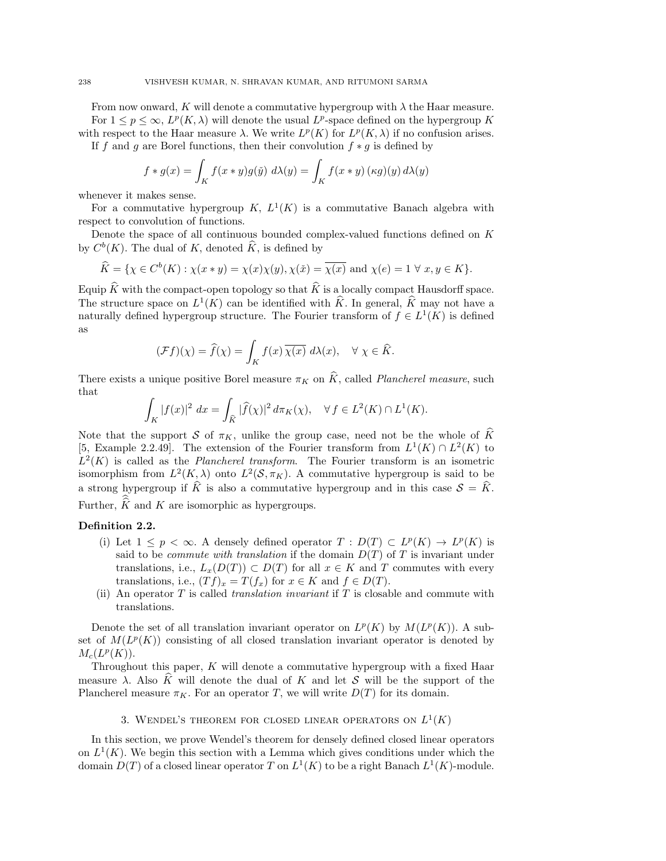From now onward, K will denote a commutative hypergroup with  $\lambda$  the Haar measure. For  $1 \leq p \leq \infty$ ,  $L^p(K, \lambda)$  will denote the usual  $L^p$ -space defined on the hypergroup K with respect to the Haar measure  $\lambda$ . We write  $L^p(K)$  for  $L^p(K,\lambda)$  if no confusion arises.

If f and g are Borel functions, then their convolution  $f * g$  is defined by

$$
f * g(x) = \int_K f(x * y)g(y) d\lambda(y) = \int_K f(x * y) (\kappa g)(y) d\lambda(y)
$$

whenever it makes sense.

For a commutative hypergroup K,  $L^1(K)$  is a commutative Banach algebra with respect to convolution of functions.

Denote the space of all continuous bounded complex-valued functions defined on K by  $C^b(K)$ . The dual of K, denoted  $\hat{K}$ , is defined by

$$
\widehat{K} = \{ \chi \in C^b(K) : \chi(x * y) = \chi(x)\chi(y), \chi(\check{x}) = \overline{\chi(x)} \text{ and } \chi(e) = 1 \ \forall \ x, y \in K \}.
$$

Equip  $\hat{K}$  with the compact-open topology so that  $\hat{K}$  is a locally compact Hausdorff space. The structure space on  $L^1(K)$  can be identified with  $\widehat{K}$ . In general,  $\widehat{K}$  may not have a naturally defined hypergroup structure. The Fourier transform of  $f \in L^1(K)$  is defined as

$$
(\mathcal{F}f)(\chi) = \widehat{f}(\chi) = \int_K f(x) \,\overline{\chi(x)} \, d\lambda(x), \quad \forall \ \chi \in \widehat{K}.
$$

There exists a unique positive Borel measure  $\pi_K$  on  $\hat{K}$ , called *Plancherel measure*, such that

$$
\int_K |f(x)|^2 dx = \int_{\widehat{K}} |\widehat{f}(\chi)|^2 d\pi_K(\chi), \quad \forall f \in L^2(K) \cap L^1(K).
$$

Note that the support S of  $\pi_K$ , unlike the group case, need not be the whole of  $\widehat{K}$ [5, Example 2.2.49]. The extension of the Fourier transform from  $L^1(K) \cap L^2(K)$  to  $L^2(K)$  is called as the *Plancherel transform*. The Fourier transform is an isometric isomorphism from  $L^2(K, \lambda)$  onto  $L^2(\mathcal{S}, \pi_K)$ . A commutative hypergroup is said to be a strong hypergroup if  $\hat{K}$  is also a commutative hypergroup and in this case  $S = \hat{K}$ . Further,  $\widehat{K}$  and K are isomorphic as hypergroups.

### Definition 2.2.

- (i) Let  $1 \leq p < \infty$ . A densely defined operator  $T : D(T) \subset L^p(K) \to L^p(K)$  is said to be *commute with translation* if the domain  $D(T)$  of T is invariant under translations, i.e.,  $L_x(D(T)) \subset D(T)$  for all  $x \in K$  and T commutes with every translations, i.e.,  $(Tf)_x = T(f_x)$  for  $x \in K$  and  $f \in D(T)$ .
- (ii) An operator  $T$  is called *translation invariant* if  $T$  is closable and commute with translations.

Denote the set of all translation invariant operator on  $L^p(K)$  by  $M(L^p(K))$ . A subset of  $M(L^p(K))$  consisting of all closed translation invariant operator is denoted by  $M_c(L^p(K)).$ 

Throughout this paper, K will denote a commutative hypergroup with a fixed Haar measure  $\lambda$ . Also K will denote the dual of K and let S will be the support of the Plancherel measure  $\pi_K$ . For an operator T, we will write  $D(T)$  for its domain.

# 3. WENDEL'S THEOREM FOR CLOSED LINEAR OPERATORS ON  $L^1(K)$

In this section, we prove Wendel's theorem for densely defined closed linear operators on  $L^1(K)$ . We begin this section with a Lemma which gives conditions under which the domain  $D(T)$  of a closed linear operator T on  $L^1(K)$  to be a right Banach  $L^1(K)$ -module.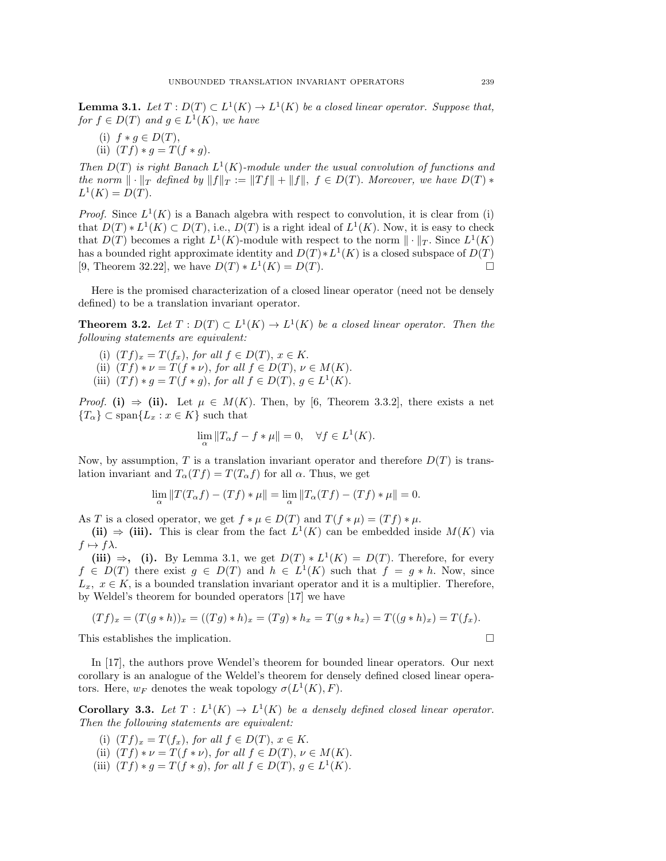**Lemma 3.1.** Let  $T: D(T) \subset L^1(K) \to L^1(K)$  be a closed linear operator. Suppose that, for  $f \in D(T)$  and  $g \in L^1(K)$ , we have

(i)  $f * g \in D(T)$ , (ii)  $(T f) * g = T(f * g)$ .

Then  $D(T)$  is right Banach  $L^1(K)$ -module under the usual convolution of functions and the norm  $\|\cdot\|_T$  defined by  $\|f\|_T := \|Tf\| + \|f\|, f \in D(T)$ . Moreover, we have  $D(T) *$  $L^{1}(K) = D(T).$ 

*Proof.* Since  $L^1(K)$  is a Banach algebra with respect to convolution, it is clear from (i) that  $D(T) * L^1(K) \subset D(T)$ , i.e.,  $D(T)$  is a right ideal of  $L^1(K)$ . Now, it is easy to check that  $D(T)$  becomes a right  $L^1(K)$ -module with respect to the norm  $\|\cdot\|_T$ . Since  $L^1(K)$ has a bounded right approximate identity and  $D(T) * L^1(K)$  is a closed subspace of  $D(T)$ [9, Theorem 32.22], we have  $D(T) * L^{1}(K) = D(T)$ .

Here is the promised characterization of a closed linear operator (need not be densely defined) to be a translation invariant operator.

**Theorem 3.2.** Let  $T: D(T) \subset L^1(K) \to L^1(K)$  be a closed linear operator. Then the following statements are equivalent:

- (i)  $(Tf)_x = T(f_x)$ , for all  $f \in D(T)$ ,  $x \in K$ .
- (ii)  $(T f) * \nu = T(f * \nu)$ , for all  $f \in D(T)$ ,  $\nu \in M(K)$ .
- (iii)  $(Tf) * g = T(f * g)$ , for all  $f \in D(T)$ ,  $g \in L^1(K)$ .

*Proof.* (i)  $\Rightarrow$  (ii). Let  $\mu \in M(K)$ . Then, by [6, Theorem 3.3.2], there exists a net  ${T_\alpha} \subset \text{span}{L_x : x \in K}$  such that

$$
\lim_{\alpha} \|T_{\alpha}f - f * \mu\| = 0, \quad \forall f \in L^{1}(K).
$$

Now, by assumption, T is a translation invariant operator and therefore  $D(T)$  is translation invariant and  $T_{\alpha}(Tf) = T(T_{\alpha}f)$  for all  $\alpha$ . Thus, we get

$$
\lim_{\alpha} ||T(T_{\alpha}f) - (Tf) * \mu|| = \lim_{\alpha} ||T_{\alpha}(Tf) - (Tf) * \mu|| = 0.
$$

As T is a closed operator, we get  $f * \mu \in D(T)$  and  $T(f * \mu) = (Tf) * \mu$ .

(ii)  $\Rightarrow$  (iii). This is clear from the fact  $L^1(K)$  can be embedded inside  $M(K)$  via  $f \mapsto f\lambda$ .

(iii)  $\Rightarrow$ , (i). By Lemma 3.1, we get  $D(T) * L^{1}(K) = D(T)$ . Therefore, for every  $f \in D(T)$  there exist  $g \in D(T)$  and  $h \in L^1(K)$  such that  $f = g * h$ . Now, since  $L_x, x \in K$ , is a bounded translation invariant operator and it is a multiplier. Therefore, by Weldel's theorem for bounded operators [17] we have

$$
(Tf)_x = (T(g*h))_x = ((Tg)*h)_x = (Tg)*h_x = T(g*h_x) = T((g*h)_x) = T(f_x).
$$

This establishes the implication.  $\square$ 

In [17], the authors prove Wendel's theorem for bounded linear operators. Our next corollary is an analogue of the Weldel's theorem for densely defined closed linear operators. Here,  $w_F$  denotes the weak topology  $\sigma(L^1(K), F)$ .

**Corollary 3.3.** Let  $T: L^1(K) \to L^1(K)$  be a densely defined closed linear operator. Then the following statements are equivalent:

- (i)  $(Tf)_x = T(f_x)$ , for all  $f \in D(T)$ ,  $x \in K$ .
- (ii)  $(T f) * \nu = T(f * \nu)$ , for all  $f \in D(T)$ ,  $\nu \in M(K)$ .
- (iii)  $(Tf) * g = T(f * g)$ , for all  $f \in D(T)$ ,  $g \in L^1(K)$ .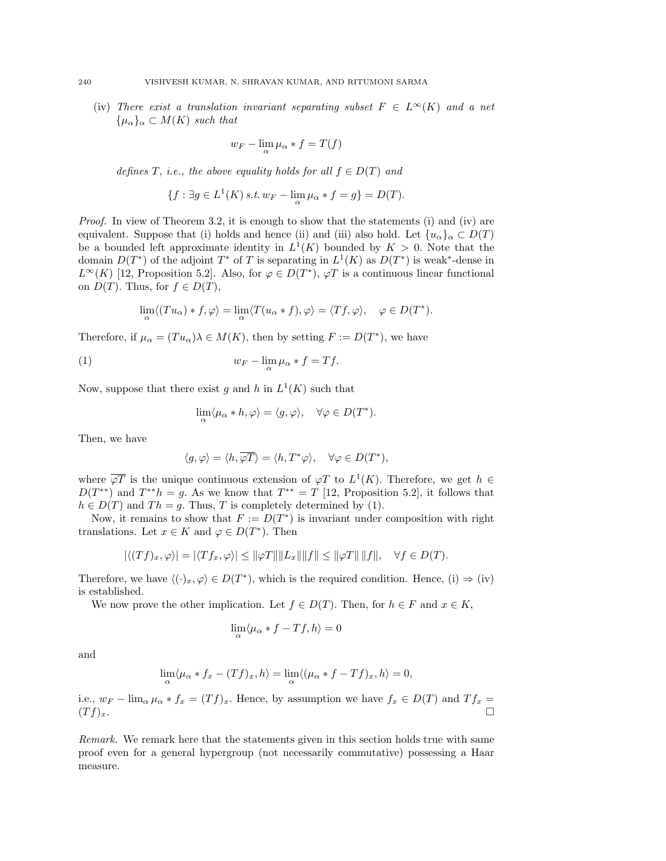(iv) There exist a translation invariant separating subset  $F \in L^{\infty}(K)$  and a net  $\{\mu_{\alpha}\}_\alpha \subset M(K)$  such that

$$
w_F - \lim_{\alpha} \mu_{\alpha} * f = T(f)
$$

defines T, i.e., the above equality holds for all  $f \in D(T)$  and

$$
\{f: \exists g \in L^1(K) \text{ s.t. } w_F - \lim_{\alpha} \mu_\alpha * f = g\} = D(T).
$$

*Proof.* In view of Theorem 3.2, it is enough to show that the statements (i) and (iv) are equivalent. Suppose that (i) holds and hence (ii) and (iii) also hold. Let  ${u_{\alpha}}_{\alpha} \subset D(T)$ be a bounded left approximate identity in  $L^1(K)$  bounded by  $K > 0$ . Note that the domain  $D(T^*)$  of the adjoint  $T^*$  of T is separating in  $L^1(K)$  as  $D(T^*)$  is weak\*-dense in  $L^{\infty}(K)$  [12, Proposition 5.2]. Also, for  $\varphi \in D(T^*)$ ,  $\varphi T$  is a continuous linear functional on  $D(T)$ . Thus, for  $f \in D(T)$ ,

$$
\lim_{\alpha} \langle (Tu_{\alpha}) * f, \varphi \rangle = \lim_{\alpha} \langle T(u_{\alpha} * f), \varphi \rangle = \langle Tf, \varphi \rangle, \quad \varphi \in D(T^{*}).
$$

Therefore, if  $\mu_{\alpha} = (Tu_{\alpha})\lambda \in M(K)$ , then by setting  $F := D(T^*)$ , we have

(1) 
$$
w_F - \lim_{\alpha} \mu_\alpha * f = Tf.
$$

Now, suppose that there exist g and h in  $L^1(K)$  such that

$$
\lim_{\alpha}\langle \mu_{\alpha}*h,\varphi\rangle=\langle g,\varphi\rangle,\quad \forall \varphi\in D(T^*).
$$

Then, we have

$$
\langle g, \varphi \rangle = \langle h, \overline{\varphi T} \rangle = \langle h, T^* \varphi \rangle, \quad \forall \varphi \in D(T^*),
$$

where  $\overline{\varphi T}$  is the unique continuous extension of  $\varphi T$  to  $L^1(K)$ . Therefore, we get  $h \in$  $D(T^{**})$  and  $T^{**}h = g$ . As we know that  $T^{**} = T$  [12, Proposition 5.2], it follows that  $h \in D(T)$  and  $Th = g$ . Thus, T is completely determined by (1).

Now, it remains to show that  $F := D(T^*)$  is invariant under composition with right translations. Let  $x \in K$  and  $\varphi \in D(T^*)$ . Then

$$
|\langle (Tf)_x, \varphi \rangle| = |\langle Tf_x, \varphi \rangle| \le ||\varphi T|| ||L_x|| ||f|| \le ||\varphi T|| ||f||, \quad \forall f \in D(T).
$$

Therefore, we have  $\langle (\cdot)_x, \varphi \rangle \in D(T^*)$ , which is the required condition. Hence, (i)  $\Rightarrow$  (iv) is established.

We now prove the other implication. Let  $f \in D(T)$ . Then, for  $h \in F$  and  $x \in K$ ,

$$
\lim_\alpha \langle \mu_\alpha * f - Tf, h \rangle = 0
$$

and

$$
\lim_{\alpha} \langle \mu_{\alpha} * f_x - (Tf)_x, h \rangle = \lim_{\alpha} \langle (\mu_{\alpha} * f - Tf)_x, h \rangle = 0,
$$

i.e.,  $w_F - \lim_{\alpha} \mu_{\alpha} * f_x = (Tf)_x$ . Hence, by assumption we have  $f_x \in D(T)$  and  $Tf_x =$  $(Tf)_x$ .

Remark. We remark here that the statements given in this section holds true with same proof even for a general hypergroup (not necessarily commutative) possessing a Haar measure.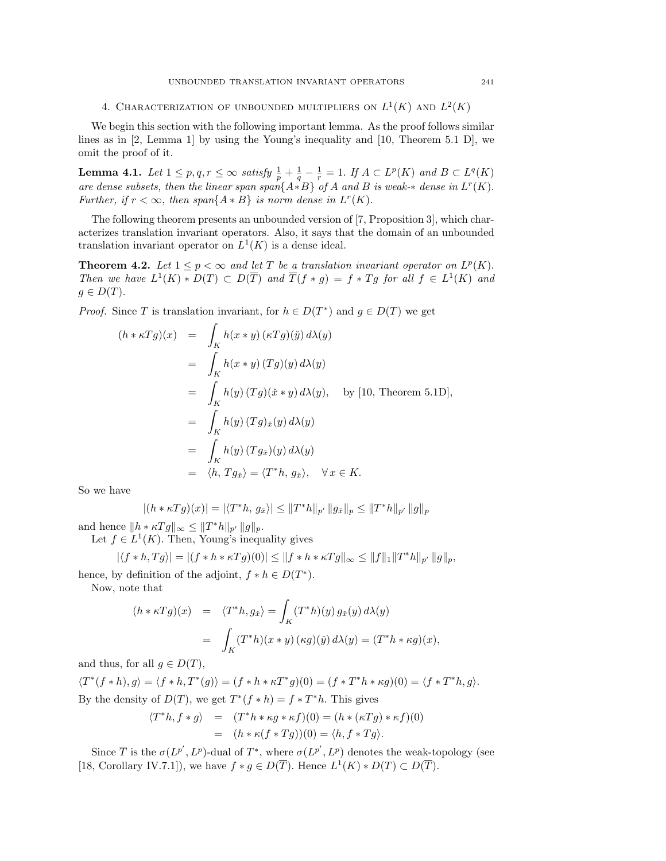4. CHARACTERIZATION OF UNBOUNDED MULTIPLIERS ON  $L^1(K)$  and  $L^2(K)$ 

We begin this section with the following important lemma. As the proof follows similar lines as in [2, Lemma 1] by using the Young's inequality and [10, Theorem 5.1 D], we omit the proof of it.

**Lemma 4.1.** Let  $1 \leq p, q, r \leq \infty$  satisfy  $\frac{1}{p} + \frac{1}{q} - \frac{1}{r} = 1$ . If  $A \subset L^p(K)$  and  $B \subset L^q(K)$ are dense subsets, then the linear span span $\{A*B\}$  of A and B is weak- $*$  dense in  $L^r(K)$ . Further, if  $r < \infty$ , then span $\{A * B\}$  is norm dense in  $L^r(K)$ .

The following theorem presents an unbounded version of [7, Proposition 3], which characterizes translation invariant operators. Also, it says that the domain of an unbounded translation invariant operator on  $L^1(K)$  is a dense ideal.

**Theorem 4.2.** Let  $1 \leq p < \infty$  and let T be a translation invariant operator on  $L^p(K)$ . Then we have  $L^1(K) * D(T) \subset D(\overline{T})$  and  $\overline{T}(f * g) = f * Tg$  for all  $f \in L^1(K)$  and  $g \in D(T)$ .

*Proof.* Since T is translation invariant, for  $h \in D(T^*)$  and  $g \in D(T)$  we get

$$
(h * \kappa Tg)(x) = \int_K h(x * y) (\kappa Tg)(\tilde{y}) d\lambda(y)
$$
  
= 
$$
\int_K h(x * y) (Tg)(y) d\lambda(y)
$$
  
= 
$$
\int_K h(y) (Tg)(\tilde{x} * y) d\lambda(y), \text{ by [10, Theorem 5.1D]},
$$
  
= 
$$
\int_K h(y) (Tg)_{\tilde{x}}(y) d\lambda(y)
$$
  
= 
$$
\int_K h(y) (Tg_{\tilde{x}})(y) d\lambda(y)
$$
  
= 
$$
\langle h, Tg_{\tilde{x}} \rangle = \langle T^*h, g_{\tilde{x}} \rangle, \forall x \in K.
$$

So we have

$$
|(h * \kappa Tg)(x)| = |\langle T^*h, g_{\tilde{x}} \rangle| \le ||T^*h||_{p'} ||g_{\tilde{x}}||_p \le ||T^*h||_{p'} ||g||_p
$$

and hence  $||h * \kappa Tg||_{\infty} \leq ||T^*h||_{p'} ||g||_{p}.$ 

Let  $f \in L^1(K)$ . Then, Young's inequality gives

$$
|\langle f * h, Tg \rangle| = |(f * h * \kappa Tg)(0)| \le ||f * h * \kappa Tg||_{\infty} \le ||f||_1 ||T^*h||_{p'} ||g||_p,
$$

hence, by definition of the adjoint,  $f * h \in D(T^*)$ .

Now, note that

$$
(h * \kappa Tg)(x) = \langle T^*h, g_{\check{x}} \rangle = \int_K (T^*h)(y) g_{\check{x}}(y) d\lambda(y)
$$

$$
= \int_K (T^*h)(x * y) (\kappa g)(\check{y}) d\lambda(y) = (T^*h * \kappa g)(x),
$$

and thus, for all  $q \in D(T)$ ,

 $\langle T^*(f * h), g \rangle = \langle f * h, T^*(g) \rangle = (f * h * \kappa T^* g)(0) = (f * T^* h * \kappa g)(0) = \langle f * T^* h, g \rangle.$ By the density of  $D(T)$ , we get  $T^*(f * h) = f * T^*h$ . This gives

$$
\langle T^*h, f * g \rangle = (T^*h * \kappa g * \kappa f)(0) = (h * (\kappa Tg) * \kappa f)(0)
$$
  
= 
$$
(h * \kappa (f * Tg))(0) = \langle h, f * Tg \rangle.
$$

Since  $\overline{T}$  is the  $\sigma(L^{p'}, L^p)$ -dual of  $T^*$ , where  $\sigma(L^{p'}, L^p)$  denotes the weak-topology (see [18, Corollary IV.7.1]), we have  $f * g \in D(\overline{T})$ . Hence  $L^1(K) * D(T) \subset D(\overline{T})$ .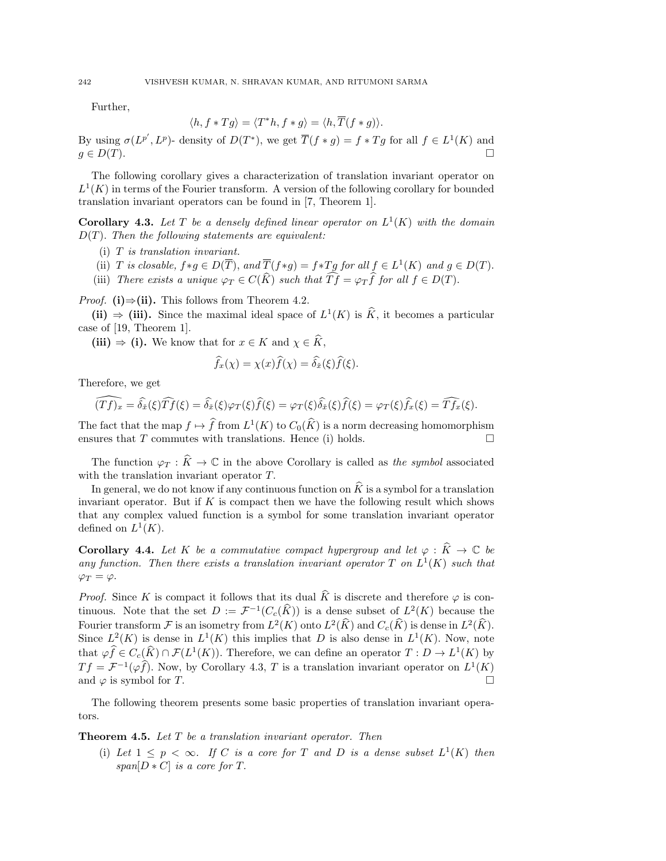Further,

$$
\langle h, f * Tg \rangle = \langle T^*h, f * g \rangle = \langle h, \overline{T}(f * g) \rangle.
$$

By using  $\sigma(L^{p'}, L^p)$ - density of  $D(T^*)$ , we get  $\overline{T}(f * g) = f * Tg$  for all  $f \in L^1(K)$  and  $g \in D(T)$ .

The following corollary gives a characterization of translation invariant operator on  $L^1(K)$  in terms of the Fourier transform. A version of the following corollary for bounded translation invariant operators can be found in [7, Theorem 1].

**Corollary 4.3.** Let T be a densely defined linear operator on  $L^1(K)$  with the domain  $D(T)$ . Then the following statements are equivalent:

- (i) T is translation invariant.
- (ii) T is closable,  $f*g \in D(\overline{T})$ , and  $\overline{T}(f*g) = f*Tg$  for all  $f \in L^1(K)$  and  $g \in D(T)$ .
- (iii) There exists a unique  $\varphi_T \in C(\widehat{K})$  such that  $\widehat{T} f = \varphi_T \widehat{f}$  for all  $f \in D(T)$ .

*Proof.* (i) $\Rightarrow$ (ii). This follows from Theorem 4.2.

(ii)  $\Rightarrow$  (iii). Since the maximal ideal space of  $L^1(K)$  is  $\widehat{K}$ , it becomes a particular case of [19, Theorem 1].

(iii)  $\Rightarrow$  (i). We know that for  $x \in K$  and  $\chi \in \widehat{K}$ ,

$$
\widehat{f}_x(\chi) = \chi(x)\widehat{f}(\chi) = \widehat{\delta_x}(\xi)\widehat{f}(\xi).
$$

Therefore, we get

$$
\widehat{(Tf)_x} = \widehat{\delta_x}(\xi)\widehat{Tf}(\xi) = \widehat{\delta_x}(\xi)\varphi_T(\xi)\widehat{f}(\xi) = \varphi_T(\xi)\widehat{\delta_x}(\xi)\widehat{f}(\xi) = \varphi_T(\xi)\widehat{f}_x(\xi) = \widehat{Tf}_x(\xi).
$$

The fact that the map  $f \mapsto \hat{f}$  from  $L^1(K)$  to  $C_0(\hat{K})$  is a norm decreasing homomorphism ensures that T commutes with translations. Hence (i) holds.  $\square$ 

The function  $\varphi_T : \widehat{K} \to \mathbb{C}$  in the above Corollary is called as the symbol associated with the translation invariant operator T.

In general, we do not know if any continuous function on  $\hat{K}$  is a symbol for a translation invariant operator. But if  $K$  is compact then we have the following result which shows that any complex valued function is a symbol for some translation invariant operator defined on  $L^1(K)$ .

**Corollary 4.4.** Let K be a commutative compact hypergroup and let  $\varphi : \widehat{K} \to \mathbb{C}$  be any function. Then there exists a translation invariant operator T on  $L^1(K)$  such that  $\varphi_T = \varphi$ .

*Proof.* Since K is compact it follows that its dual  $\hat{K}$  is discrete and therefore  $\varphi$  is continuous. Note that the set  $D := \mathcal{F}^{-1}(C_c(\widehat{K}))$  is a dense subset of  $L^2(K)$  because the Fourier transform  $\mathcal F$  is an isometry from  $L^2(K)$  onto  $L^2(\hat K)$  and  $C_c(\hat K)$  is dense in  $L^2(\hat K)$ . Since  $L^2(K)$  is dense in  $L^1(K)$  this implies that D is also dense in  $L^1(K)$ . Now, note that  $\varphi f \in C_c(\widehat{K}) \cap \mathcal{F}(L^1(K))$ . Therefore, we can define an operator  $T: D \to L^1(K)$  by  $Tf = \mathcal{F}^{-1}(\varphi f)$ . Now, by Corollary 4.3, T is a translation invariant operator on  $L^1(K)$ and  $\varphi$  is symbol for T.

The following theorem presents some basic properties of translation invariant operators.

**Theorem 4.5.** Let T be a translation invariant operator. Then

(i) Let  $1 \leq p \leq \infty$ . If C is a core for T and D is a dense subset  $L^1(K)$  then  $span[D*C]$  is a core for T.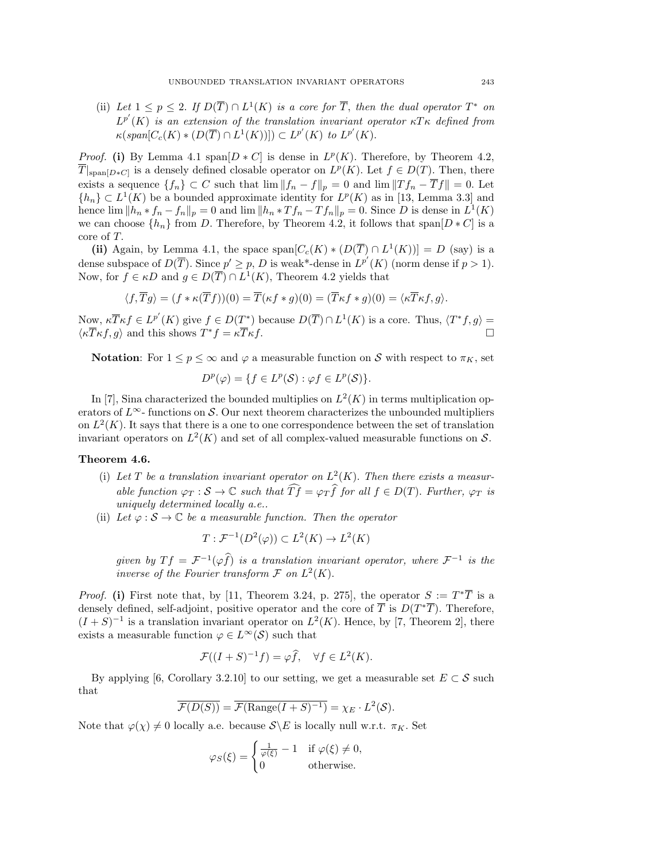(ii) Let  $1 \leq p \leq 2$ . If  $D(\overline{T}) \cap L^1(K)$  is a core for  $\overline{T}$ , then the dual operator  $T^*$  on  $L^{p'}(K)$  is an extension of the translation invariant operator  $\kappa T\kappa$  defined from  $\kappa(\text{span}[C_c(K) * (D(\overline{T}) \cap L^1(K))]) \subset L^{p'}(K)$  to  $L^{p'}(K)$ .

*Proof.* (i) By Lemma 4.1 span $[D * C]$  is dense in  $L^p(K)$ . Therefore, by Theorem 4.2,  $\overline{T}|_{\text{span}[D*C]}$  is a densely defined closable operator on  $L^p(K)$ . Let  $f \in D(T)$ . Then, there exists a sequence  $\{f_n\} \subset C$  such that  $\lim \|f_n - f\|_p = 0$  and  $\lim \|Tf_n - \overline{T}f\| = 0$ . Let  $\{h_n\} \subset L^1(K)$  be a bounded approximate identity for  $L^p(K)$  as in [13, Lemma 3.3] and hence  $\lim ||h_n * f_n - f_n||_p = 0$  and  $\lim ||h_n * Tf_n - Tf_n||_p = 0$ . Since D is dense in  $L^1(K)$ we can choose  $\{h_n\}$  from D. Therefore, by Theorem 4.2, it follows that span $[D * C]$  is a core of T.

(ii) Again, by Lemma 4.1, the space span $[C_c(K) * (D(\overline{T}) \cap L^1(K))] = D$  (say) is a dense subspace of  $D(\overline{T})$ . Since  $p' \geq p$ , D is weak\*-dense in  $L^{p'}(K)$  (norm dense if  $p > 1$ ). Now, for  $f \in \kappa D$  and  $g \in D(\overline{T}) \cap L^1(K)$ , Theorem 4.2 yields that

$$
\langle f, \overline{T}g \rangle = (f \ast \kappa(\overline{T}f))(0) = \overline{T}(\kappa f \ast g)(0) = (\overline{T}\kappa f \ast g)(0) = \langle \kappa \overline{T} \kappa f, g \rangle.
$$

Now,  $\kappa \overline{T} \kappa f \in L^{p'}(K)$  give  $f \in D(T^*)$  because  $D(\overline{T}) \cap L^1(K)$  is a core. Thus,  $\langle T^* f, g \rangle =$  $\langle \kappa \overline{T} \kappa f, g \rangle$  and this shows  $T^* f = \kappa \overline{T} \kappa f$ .

**Notation:** For  $1 \leq p \leq \infty$  and  $\varphi$  a measurable function on S with respect to  $\pi_K$ , set

$$
D^{p}(\varphi) = \{ f \in L^{p}(\mathcal{S}) : \varphi f \in L^{p}(\mathcal{S}) \}.
$$

In [7], Sina characterized the bounded multiplies on  $L^2(K)$  in terms multiplication operators of  $L^{\infty}$ - functions on S. Our next theorem characterizes the unbounded multipliers on  $L^2(K)$ . It says that there is a one to one correspondence between the set of translation invariant operators on  $L^2(K)$  and set of all complex-valued measurable functions on S.

### Theorem 4.6.

- (i) Let T be a translation invariant operator on  $L^2(K)$ . Then there exists a measurable function  $\varphi_T : \mathcal{S} \to \mathbb{C}$  such that  $\widehat{T} f = \varphi_T \widehat{f}$  for all  $f \in D(T)$ . Further,  $\varphi_T$  is uniquely determined locally a.e..
- (ii) Let  $\varphi : \mathcal{S} \to \mathbb{C}$  be a measurable function. Then the operator

$$
T: \mathcal{F}^{-1}(D^2(\varphi)) \subset L^2(K) \to L^2(K)
$$

given by  $Tf = \mathcal{F}^{-1}(\varphi \hat{f})$  is a translation invariant operator, where  $\mathcal{F}^{-1}$  is the inverse of the Fourier transform  $\mathcal F$  on  $L^2(K)$ .

*Proof.* (i) First note that, by [11, Theorem 3.24, p. 275], the operator  $S := T^*\overline{T}$  is a densely defined, self-adjoint, positive operator and the core of  $\overline{T}$  is  $D(T^*\overline{T})$ . Therefore,  $(I + S)^{-1}$  is a translation invariant operator on  $L^2(K)$ . Hence, by [7, Theorem 2], there exists a measurable function  $\varphi \in L^{\infty}(\mathcal{S})$  such that

$$
\mathcal{F}((I+S)^{-1}f) = \varphi \widehat{f}, \quad \forall f \in L^2(K).
$$

By applying [6, Corollary 3.2.10] to our setting, we get a measurable set  $E \subset \mathcal{S}$  such that

$$
\overline{\mathcal{F}(D(S))} = \overline{\mathcal{F}(\text{Range}(I+S)^{-1})} = \chi_E \cdot L^2(\mathcal{S}).
$$

Note that  $\varphi(\chi) \neq 0$  locally a.e. because  $\mathcal{S} \backslash E$  is locally null w.r.t.  $\pi_K$ . Set

$$
\varphi_S(\xi) = \begin{cases} \frac{1}{\varphi(\xi)} - 1 & \text{if } \varphi(\xi) \neq 0, \\ 0 & \text{otherwise.} \end{cases}
$$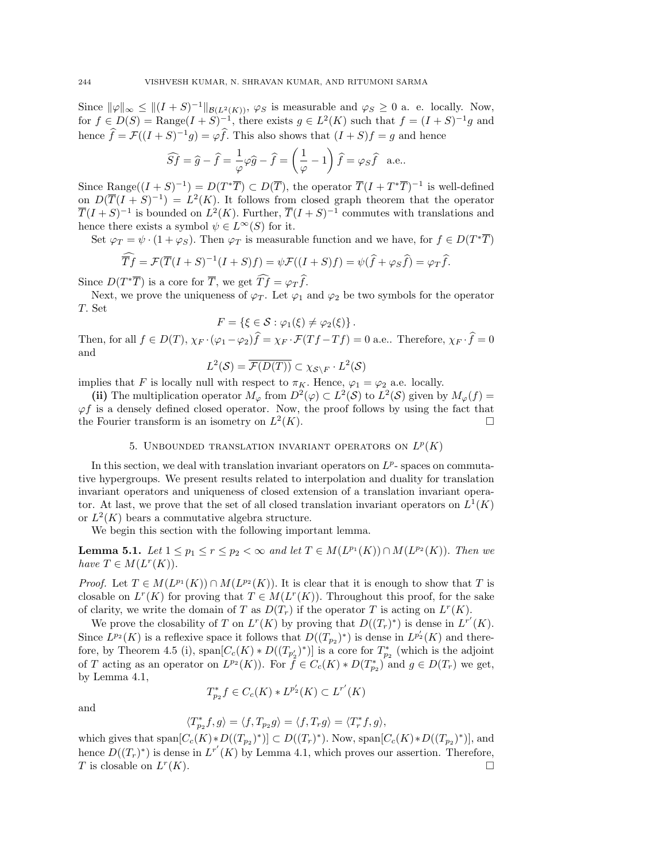Since  $\|\varphi\|_{\infty} \leq |((I + S)^{-1}||_{\mathcal{B}(L^2(K))}, \varphi_S$  is measurable and  $\varphi_S \geq 0$  a. e. locally. Now, for  $f \in D(S) = \text{Range}(I + S)^{-1}$ , there exists  $g \in L^2(K)$  such that  $f = (I + S)^{-1}g$  and hence  $\hat{f} = \mathcal{F}((I + S)^{-1}g) = \varphi \hat{f}$ . This also shows that  $(I + S)f = g$  and hence

$$
\widehat{S}f = \widehat{g} - \widehat{f} = \frac{1}{\varphi}\varphi\widehat{g} - \widehat{f} = \left(\frac{1}{\varphi} - 1\right)\widehat{f} = \varphi_S\widehat{f} \quad \text{a.e.}.
$$

Since Range $((I + S)^{-1}) = D(T^*\overline{T}) \subset D(\overline{T})$ , the operator  $\overline{T}(I + T^*\overline{T})^{-1}$  is well-defined on  $D(\overline{T}(I + S)^{-1}) = L^2(K)$ . It follows from closed graph theorem that the operator  $\overline{T}(I + S)^{-1}$  is bounded on  $L^2(K)$ . Further,  $\overline{T}(I + S)^{-1}$  commutes with translations and hence there exists a symbol  $\psi \in L^{\infty}(S)$  for it.

Set  $\varphi_T = \psi \cdot (1 + \varphi_S)$ . Then  $\varphi_T$  is measurable function and we have, for  $f \in D(T^*\overline{T})$ 

$$
\overline{T}f = \mathcal{F}(\overline{T}(I+S)^{-1}(I+S)f) = \psi \mathcal{F}((I+S)f) = \psi(\widehat{f} + \varphi S\widehat{f}) = \varphi T\widehat{f}.
$$

Since  $D(T^*\overline{T})$  is a core for  $\overline{T}$ , we get  $\widehat{T}f = \varphi_T \widehat{f}$ .

Next, we prove the uniqueness of  $\varphi_T$ . Let  $\varphi_1$  and  $\varphi_2$  be two symbols for the operator T. Set

$$
F = \{ \xi \in S : \varphi_1(\xi) \neq \varphi_2(\xi) \}.
$$

Then, for all  $f \in D(T)$ ,  $\chi_F \cdot (\varphi_1 - \varphi_2)f = \chi_F \cdot \mathcal{F}(Tf - Tf) = 0$  a.e.. Therefore,  $\chi_F \cdot f = 0$ and

$$
L^2(\mathcal{S}) = \overline{\mathcal{F}(D(T))} \subset \chi_{\mathcal{S}\setminus F} \cdot L^2(\mathcal{S})
$$

implies that F is locally null with respect to  $\pi_K$ . Hence,  $\varphi_1 = \varphi_2$  a.e. locally.

(ii) The multiplication operator  $M_{\varphi}$  from  $D^2(\varphi) \subset L^2(\mathcal{S})$  to  $L^2(\mathcal{S})$  given by  $M_{\varphi}(f) =$  $\varphi f$  is a densely defined closed operator. Now, the proof follows by using the fact that the Fourier transform is an isometry on  $L^2$  $(K).$ 

## 5. UNBOUNDED TRANSLATION INVARIANT OPERATORS ON  $L^p(K)$

In this section, we deal with translation invariant operators on  $L^p$ -spaces on commutative hypergroups. We present results related to interpolation and duality for translation invariant operators and uniqueness of closed extension of a translation invariant operator. At last, we prove that the set of all closed translation invariant operators on  $L^1(K)$ or  $L^2(K)$  bears a commutative algebra structure.

We begin this section with the following important lemma.

**Lemma 5.1.** Let  $1 \leq p_1 \leq r \leq p_2 < \infty$  and let  $T \in M(L^{p_1}(K)) \cap M(L^{p_2}(K))$ . Then we have  $T \in M(L^r(K)).$ 

*Proof.* Let  $T \in M(L^{p_1}(K)) \cap M(L^{p_2}(K))$ . It is clear that it is enough to show that T is closable on  $L^r(K)$  for proving that  $T \in M(L^r(K))$ . Throughout this proof, for the sake of clarity, we write the domain of T as  $D(T_r)$  if the operator T is acting on  $L^r(K)$ .

We prove the closability of T on  $L^r(K)$  by proving that  $D((T_r)^*)$  is dense in  $L^{r'}(K)$ . Since  $L^{p_2}(K)$  is a reflexive space it follows that  $D((T_{p_2})^*)$  is dense in  $L^{p'_2}(K)$  and therefore, by Theorem 4.5 (i),  $\text{span}[C_c(K) * D((T_{p'_2})^*)]$  is a core for  $T^*_{p_2}$  (which is the adjoint of T acting as an operator on  $L^{p_2}(K)$ ). For  $\tilde{f} \in C_c(K) * D(T_{p_2}^*)$  and  $g \in D(T_r)$  we get, by Lemma 4.1,

$$
T_{p_2}^* f \in C_c(K) * L^{p'_2}(K) \subset L^{r'}(K)
$$

and

$$
\langle T_{p_2}^* f, g \rangle = \langle f, T_{p_2} g \rangle = \langle f, T_r g \rangle = \langle T_r^* f, g \rangle,
$$

which gives that  $\text{span}[C_c(K) * D((T_{p_2})^*)] \subset D((T_r)^*)$ . Now,  $\text{span}[C_c(K) * D((T_{p_2})^*)]$ , and hence  $D((T_r)^*)$  is dense in  $L^{r'}(K)$  by Lemma 4.1, which proves our assertion. Therefore,  $T$  is closable on  $L^r$  $(K).$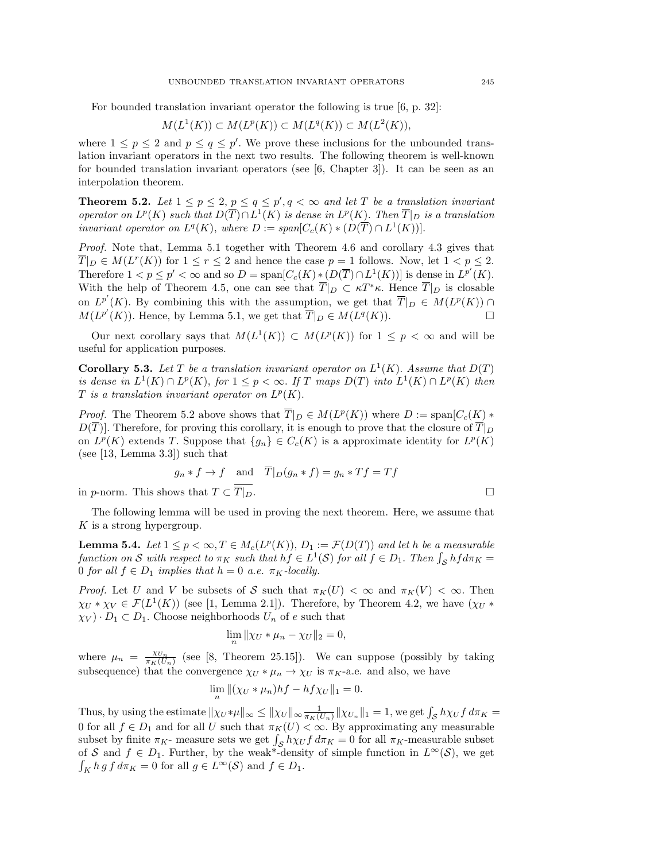For bounded translation invariant operator the following is true [6, p. 32]:

$$
M(L^1(K)) \subset M(L^p(K)) \subset M(L^q(K)) \subset M(L^2(K)),
$$

where  $1 \leq p \leq 2$  and  $p \leq q \leq p'$ . We prove these inclusions for the unbounded translation invariant operators in the next two results. The following theorem is well-known for bounded translation invariant operators (see [6, Chapter 3]). It can be seen as an interpolation theorem.

**Theorem 5.2.** Let  $1 \leq p \leq 2$ ,  $p \leq q \leq p'$ ,  $q < \infty$  and let T be a translation invariant operator on  $L^p(K)$  such that  $D(\overline{T}) \cap L^1(K)$  is dense in  $L^p(K)$ . Then  $\overline{T}|_D$  is a translation invariant operator on  $L^q(K)$ , where  $D := span[C_c(K) * (D(\overline{T}) \cap L^1(K))].$ 

Proof. Note that, Lemma 5.1 together with Theorem 4.6 and corollary 4.3 gives that  $\overline{T}|_D \in M(L^r(K))$  for  $1 \le r \le 2$  and hence the case  $p = 1$  follows. Now, let  $1 < p \le 2$ . Therefore  $1 < p \le p' < \infty$  and so  $D = \text{span}[C_c(K) * (D(\overline{T}) \cap L^1(K))]$  is dense in  $L^{p'}(K)$ . With the help of Theorem 4.5, one can see that  $\overline{T}|_D \subset \kappa T^* \kappa$ . Hence  $\overline{T}|_D$  is closable on  $L^{p'}(K)$ . By combining this with the assumption, we get that  $\overline{T}|_D \in M(L^p(K)) \cap$  $M(L^{p'}(K))$ . Hence, by Lemma 5.1, we get that  $\overline{T}|_D \in M(L^q(K))$ .

Our next corollary says that  $M(L^1(K)) \subset M(L^p(K))$  for  $1 \leq p < \infty$  and will be useful for application purposes.

**Corollary 5.3.** Let T be a translation invariant operator on  $L^1(K)$ . Assume that  $D(T)$ is dense in  $L^1(K) \cap L^p(K)$ , for  $1 \leq p < \infty$ . If T maps  $D(T)$  into  $L^1(K) \cap L^p(K)$  then T is a translation invariant operator on  $L^p(K)$ .

*Proof.* The Theorem 5.2 above shows that  $\overline{T}|_D \in M(L^p(K))$  where  $D := \text{span}[C_c(K) *$  $D(\overline{T})$ . Therefore, for proving this corollary, it is enough to prove that the closure of  $\overline{T}|_D$ on  $L^p(K)$  extends T. Suppose that  $\{g_n\} \in C_c(K)$  is a approximate identity for  $L^p(K)$ (see [13, Lemma 3.3]) such that

$$
g_n * f \to f
$$
 and  $T|_D(g_n * f) = g_n * Tf = Tf$ 

in p-norm. This shows that  $T \subset \overline{T}|_D$ .

The following lemma will be used in proving the next theorem. Here, we assume that  $K$  is a strong hypergroup.

**Lemma 5.4.** Let  $1 \leq p < \infty$ ,  $T \in M_c(L^p(K))$ ,  $D_1 := \mathcal{F}(D(T))$  and let h be a measurable function on S with respect to  $\pi_K$  such that  $hf \in L^1(\mathcal{S})$  for all  $f \in D_1$ . Then  $\int_{\mathcal{S}} hf d\pi_K =$ 0 for all  $f \in D_1$  implies that  $h = 0$  a.e.  $\pi_K$ -locally.

*Proof.* Let U and V be subsets of S such that  $\pi_K(U) < \infty$  and  $\pi_K(V) < \infty$ . Then  $\chi_U * \chi_V \in \mathcal{F}(L^1(K))$  (see [1, Lemma 2.1]). Therefore, by Theorem 4.2, we have  $(\chi_U *$  $\chi_V$ ) ·  $D_1 \subset D_1$ . Choose neighborhoods  $U_n$  of e such that

$$
\lim_{n} \|\chi_{U} * \mu_{n} - \chi_{U}\|_{2} = 0,
$$

where  $\mu_n = \frac{\chi_{U_n}}{\pi_K(U_n)}$  (see [8, Theorem 25.15]). We can suppose (possibly by taking subsequence) that the convergence  $\chi_U * \mu_n \to \chi_U$  is  $\pi_K$ -a.e. and also, we have

$$
\lim_{n} \| (\chi_U * \mu_n) h f - h f \chi_U \|_1 = 0.
$$

Thus, by using the estimate  $||\chi_U*\mu||_{\infty} \le ||\chi_U||_{\infty} \frac{1}{\pi_K(U_n)} ||\chi_{U_n}||_1 = 1$ , we get  $\int_{\mathcal{S}} h\chi_U f d\pi_K =$ 0 for all  $f \in D_1$  and for all U such that  $\pi_K(U) < \infty$ . By approximating any measurable subset by finite  $\pi_K$ - measure sets we get  $\int_{\mathcal{S}} h \chi_U f d\pi_K = 0$  for all  $\pi_K$ -measurable subset of S and  $f \in D_1$ . Further, by the weak<sup>\*</sup>-density of simple function in  $L^{\infty}(\mathcal{S})$ , we get  $\int_K h g f d\pi_K = 0$  for all  $g \in L^{\infty}(\mathcal{S})$  and  $f \in D_1$ .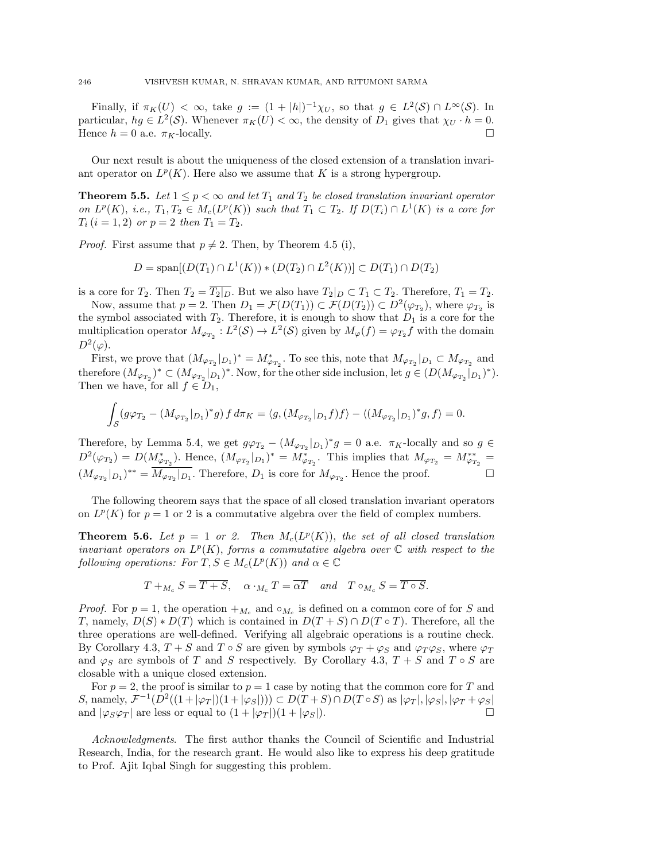Finally, if  $\pi_K(U) < \infty$ , take  $g := (1 + |h|)^{-1} \chi_U$ , so that  $g \in L^2(\mathcal{S}) \cap L^{\infty}(\mathcal{S})$ . In particular,  $hg \in L^2(\mathcal{S})$ . Whenever  $\pi_K(U) < \infty$ , the density of  $D_1$  gives that  $\chi_U \cdot h = 0$ . Hence  $h = 0$  a.e.  $\pi_K$ -locally.

Our next result is about the uniqueness of the closed extension of a translation invariant operator on  $L^p(K)$ . Here also we assume that K is a strong hypergroup.

**Theorem 5.5.** Let  $1 \leq p < \infty$  and let  $T_1$  and  $T_2$  be closed translation invariant operator on  $L^p(K)$ , i.e.,  $T_1, T_2 \in M_c(L^p(K))$  such that  $T_1 \subset T_2$ . If  $D(T_i) \cap L^1(K)$  is a core for  $T_i$   $(i = 1, 2)$  or  $p = 2$  then  $T_1 = T_2$ .

*Proof.* First assume that  $p \neq 2$ . Then, by Theorem 4.5 (i),

$$
D = \text{span}[(D(T_1) \cap L^1(K)) * (D(T_2) \cap L^2(K))] \subset D(T_1) \cap D(T_2)
$$

is a core for  $T_2$ . Then  $T_2 = \overline{T_2|_D}$ . But we also have  $T_2|_D \subset T_1 \subset T_2$ . Therefore,  $T_1 = T_2$ .

Now, assume that  $p = 2$ . Then  $D_1 = \mathcal{F}(D(T_1)) \subset \mathcal{F}(D(T_2)) \subset D^2(\varphi_{T_2})$ , where  $\varphi_{T_2}$  is the symbol associated with  $T_2$ . Therefore, it is enough to show that  $D_1$  is a core for the multiplication operator  $M_{\varphi_{T_2}} : L^2(\mathcal{S}) \to L^2(\mathcal{S})$  given by  $M_{\varphi}(f) = \varphi_{T_2} f$  with the domain  $D^2(\varphi)$ .

First, we prove that  $(M_{\varphi_{T_2}}|_{D_1})^* = M_{\varphi_{T_2}}^*$ . To see this, note that  $M_{\varphi_{T_2}}|_{D_1} \subset M_{\varphi_{T_2}}$  and therefore  $(M_{\varphi_{T_2}})^* \subset (M_{\varphi_{T_2}}|_{D_1})^*$ . Now, for the other side inclusion, let  $g \in (D(M_{\varphi_{T_2}}|_{D_1})^*)$ . Then we have, for all  $f \in D_1$ ,

$$
\int_{\mathcal{S}} (g\varphi_{T_2} - (M_{\varphi_{T_2}}|_{D_1})^*g) f d\pi_K = \langle g, (M_{\varphi_{T_2}}|_{D_1}f)f \rangle - \langle (M_{\varphi_{T_2}}|_{D_1})^*g, f \rangle = 0.
$$

Therefore, by Lemma 5.4, we get  $g\varphi_{T_2} - (M_{\varphi_{T_2}}|_{D_1})^*g = 0$  a.e.  $\pi_K$ -locally and so  $g \in$  $D^2(\varphi_{T_2}) = D(M^*_{\varphi_{T_2}})$ . Hence,  $(M_{\varphi_{T_2}}|_{D_1})^* = M^*_{\varphi_{T_2}}$ . This implies that  $M_{\varphi_{T_2}} = M^{**}_{\varphi_{T_2}} =$  $(M_{\varphi_{T_2}}|_{D_1})^{**} = \overline{M_{\varphi_{T_2}}|_{D_1}}$ . Therefore,  $D_1$  is core for  $M_{\varphi_{T_2}}$ . Hence the proof.

The following theorem says that the space of all closed translation invariant operators on  $L^p(K)$  for  $p = 1$  or 2 is a commutative algebra over the field of complex numbers.

**Theorem 5.6.** Let  $p = 1$  or 2. Then  $M_c(L^p(K))$ , the set of all closed translation invariant operators on  $L^p(K)$ , forms a commutative algebra over  $\mathbb C$  with respect to the following operations: For  $\hat{T}, S \in M_c(L^p(K))$  and  $\alpha \in \mathbb{C}$ 

$$
T +_{M_c} S = \overline{T + S}
$$
,  $\alpha \cdot_{M_c} T = \overline{\alpha T}$  and  $T \circ_{M_c} S = \overline{T \circ S}$ .

*Proof.* For  $p = 1$ , the operation  $+_{M_c}$  and  $\circ_{M_c}$  is defined on a common core of for S and T, namely,  $D(S) * D(T)$  which is contained in  $D(T + S) \cap D(T \circ T)$ . Therefore, all the three operations are well-defined. Verifying all algebraic operations is a routine check. By Corollary 4.3,  $T + S$  and  $T \circ S$  are given by symbols  $\varphi_T + \varphi_S$  and  $\varphi_T \varphi_S$ , where  $\varphi_T$ and  $\varphi_S$  are symbols of T and S respectively. By Corollary 4.3,  $T + S$  and  $T \circ S$  are closable with a unique closed extension.

For  $p = 2$ , the proof is similar to  $p = 1$  case by noting that the common core for T and S, namely,  $\mathcal{F}^{-1}(D^2((1+|\varphi_T|)(1+|\varphi_S|))) \subset D(T+S) \cap D(T \circ S)$  as  $|\varphi_T|, |\varphi_S|, |\varphi_T + \varphi_S|$ and  $|\varphi_S\varphi_T|$  are less or equal to  $(1+|\varphi_T|)(1+|\varphi_S|)$ .

Acknowledgments. The first author thanks the Council of Scientific and Industrial Research, India, for the research grant. He would also like to express his deep gratitude to Prof. Ajit Iqbal Singh for suggesting this problem.